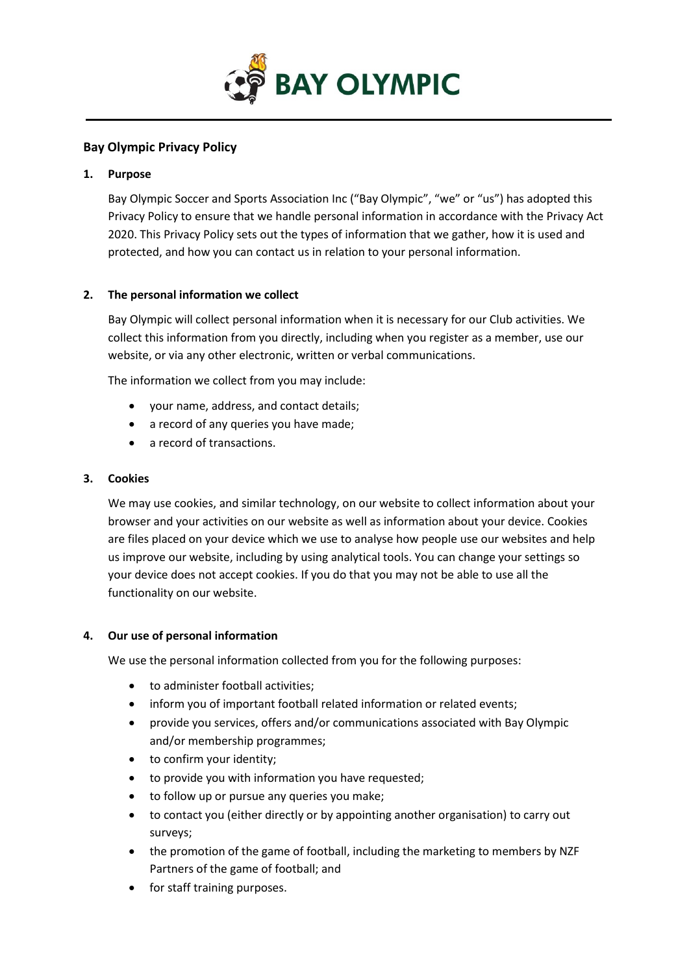

# **Bay Olympic Privacy Policy**

### **1. Purpose**

Bay Olympic Soccer and Sports Association Inc ("Bay Olympic", "we" or "us") has adopted this Privacy Policy to ensure that we handle personal information in accordance with the Privacy Act 2020. This Privacy Policy sets out the types of information that we gather, how it is used and protected, and how you can contact us in relation to your personal information.

## **2. The personal information we collect**

Bay Olympic will collect personal information when it is necessary for our Club activities. We collect this information from you directly, including when you register as a member, use our website, or via any other electronic, written or verbal communications.

The information we collect from you may include:

- your name, address, and contact details;
- a record of any queries you have made;
- a record of transactions.

### **3. Cookies**

We may use cookies, and similar technology, on our website to collect information about your browser and your activities on our website as well as information about your device. Cookies are files placed on your device which we use to analyse how people use our websites and help us improve our website, including by using analytical tools. You can change your settings so your device does not accept cookies. If you do that you may not be able to use all the functionality on our website.

#### **4. Our use of personal information**

We use the personal information collected from you for the following purposes:

- to administer football activities;
- inform you of important football related information or related events;
- provide you services, offers and/or communications associated with Bay Olympic and/or membership programmes;
- to confirm your identity;
- to provide you with information you have requested;
- to follow up or pursue any queries you make;
- to contact you (either directly or by appointing another organisation) to carry out surveys;
- the promotion of the game of football, including the marketing to members by NZF Partners of the game of football; and
- for staff training purposes.